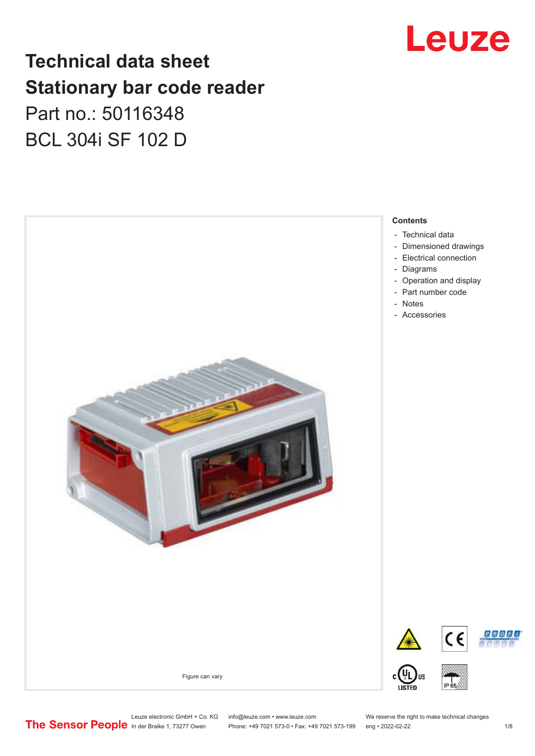

# **Technical data sheet Stationary bar code reader** Part no.: 50116348 BCL 304i SF 102 D



Leuze electronic GmbH + Co. KG info@leuze.com • www.leuze.com We reserve the right to make technical changes<br>
The Sensor People in der Braike 1, 73277 Owen Phone: +49 7021 573-0 • Fax: +49 7021 573-199 eng • 2022-02-22

Phone: +49 7021 573-0 • Fax: +49 7021 573-199 eng • 2022-02-22 1 /8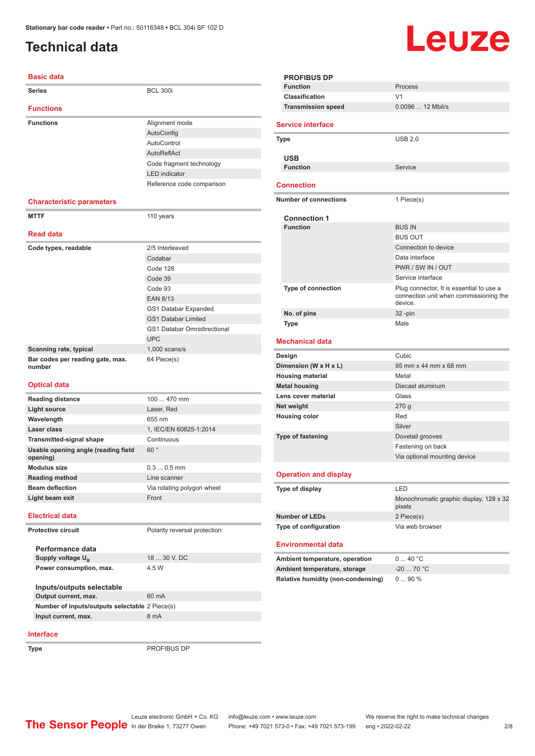# <span id="page-1-0"></span>**Technical data**

| <b>Basic data</b>                               |                                    |
|-------------------------------------------------|------------------------------------|
| <b>Series</b>                                   | <b>BCL 300i</b>                    |
| <b>Functions</b>                                |                                    |
| <b>Functions</b>                                | Alignment mode                     |
|                                                 | AutoConfig                         |
|                                                 | AutoControl                        |
|                                                 | AutoReflAct                        |
|                                                 | Code fragment technology           |
|                                                 | <b>LED</b> indicator               |
|                                                 | Reference code comparison          |
| <b>Characteristic parameters</b>                |                                    |
| <b>MTTF</b>                                     | 110 years                          |
| <b>Read data</b>                                |                                    |
| Code types, readable                            | 2/5 Interleaved                    |
|                                                 | Codabar                            |
|                                                 | Code 128                           |
|                                                 | Code 39                            |
|                                                 | Code 93                            |
|                                                 | <b>EAN 8/13</b>                    |
|                                                 | GS1 Databar Expanded               |
|                                                 | <b>GS1 Databar Limited</b>         |
|                                                 | <b>GS1 Databar Omnidirectional</b> |
|                                                 | <b>UPC</b>                         |
| Scanning rate, typical                          | $1,000$ scans/s                    |
| Bar codes per reading gate, max.<br>number      | 64 Piece(s)                        |
| <b>Optical data</b>                             |                                    |
| <b>Reading distance</b>                         | 100  470 mm                        |
| <b>Light source</b>                             | Laser, Red                         |
| Wavelength                                      | 655 nm                             |
| Laser class                                     | 1, IEC/EN 60825-1:2014             |
| <b>Transmitted-signal shape</b>                 | Continuous                         |
| Usable opening angle (reading field<br>opening) | 60°                                |
| <b>Modulus size</b>                             | $0.30.5$ mm                        |
| <b>Reading method</b>                           | Line scanner                       |
| <b>Beam deflection</b>                          | Via rotating polygon wheel         |
| Light beam exit                                 | Front                              |
| <b>Electrical data</b>                          |                                    |
| <b>Protective circuit</b>                       | Polarity reversal protection       |
| Performance data                                |                                    |
| Supply voltage U <sub>R</sub>                   | 18  30 V, DC                       |
| Power consumption, max.                         | 4.5 W                              |

| Inputs/outputs selectable                      |       |
|------------------------------------------------|-------|
| Output current, max.                           | 60 mA |
| Number of inputs/outputs selectable 2 Piece(s) |       |
| Input current, max.                            | 8 mA  |
|                                                |       |

#### **Interface**

**Type** PROFIBUS DP

|      | <b>PROFIBUS DP</b>                                                 |                                                   |
|------|--------------------------------------------------------------------|---------------------------------------------------|
|      | <b>Function</b>                                                    | Process                                           |
|      | Classification                                                     | V <sub>1</sub>                                    |
|      | <b>Transmission speed</b>                                          | 0.0096  12 Mbit/s                                 |
|      |                                                                    |                                                   |
|      | <b>Service interface</b>                                           |                                                   |
| Type |                                                                    | <b>USB 2.0</b>                                    |
|      |                                                                    |                                                   |
|      | <b>USB</b>                                                         |                                                   |
|      | <b>Function</b>                                                    | Service                                           |
|      | <b>Connection</b>                                                  |                                                   |
|      |                                                                    |                                                   |
|      | <b>Number of connections</b>                                       | 1 Piece(s)                                        |
|      | <b>Connection 1</b>                                                |                                                   |
|      | <b>Function</b>                                                    | <b>BUS IN</b>                                     |
|      |                                                                    | <b>BUS OUT</b>                                    |
|      |                                                                    | Connection to device                              |
|      |                                                                    | Data interface                                    |
|      |                                                                    | PWR / SW IN / OUT                                 |
|      |                                                                    | Service interface                                 |
|      | Type of connection                                                 | Plug connector, It is essential to use a          |
|      |                                                                    | connection unit when commissioning the<br>device. |
|      | No. of pins                                                        | $32 - pin$                                        |
|      |                                                                    |                                                   |
|      | <b>Type</b>                                                        | Male                                              |
|      |                                                                    |                                                   |
|      | <b>Mechanical data</b>                                             |                                                   |
|      | Design                                                             | Cubic                                             |
|      | Dimension (W x H x L)                                              | 95 mm x 44 mm x 68 mm                             |
|      | <b>Housing material</b>                                            | Metal                                             |
|      | <b>Metal housing</b>                                               | Diecast aluminum                                  |
|      | Lens cover material                                                | Glass                                             |
|      | Net weight                                                         | 270g                                              |
|      | <b>Housing color</b>                                               | Red                                               |
|      |                                                                    | Silver                                            |
|      | <b>Type of fastening</b>                                           | Dovetail grooves                                  |
|      |                                                                    | Fastening on back                                 |
|      |                                                                    | Via optional mounting device                      |
|      | <b>Operation and display</b>                                       |                                                   |
|      | Type of display                                                    | LED                                               |
|      |                                                                    | Monochromatic graphic display, 128 x 32<br>pixels |
|      | <b>Number of LEDs</b>                                              | 2 Piece(s)                                        |
|      | Type of configuration                                              | Via web browser                                   |
|      |                                                                    |                                                   |
|      | <b>Environmental data</b>                                          |                                                   |
|      | Ambient temperature, operation                                     | 040 °C                                            |
|      | Ambient temperature, storage<br>Relative humidity (non-condensing) | $-20$ 70 °C                                       |

Leuze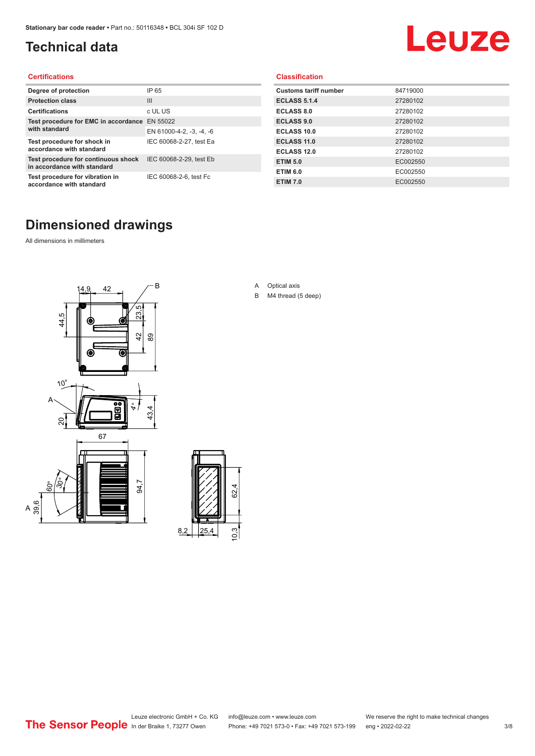# <span id="page-2-0"></span>**Technical data**

# Leuze

#### **Certifications**

| Degree of protection                                               | IP 65                    |
|--------------------------------------------------------------------|--------------------------|
| <b>Protection class</b>                                            | $\mathbf{III}$           |
| <b>Certifications</b>                                              | c UL US                  |
| Test procedure for EMC in accordance                               | EN 55022                 |
| with standard                                                      | EN 61000-4-2, -3, -4, -6 |
| Test procedure for shock in<br>accordance with standard            | IEC 60068-2-27, test Ea  |
| Test procedure for continuous shock<br>in accordance with standard | IEC 60068-2-29, test Eb  |
| Test procedure for vibration in<br>accordance with standard        | IEC 60068-2-6, test Fc   |

#### **Classification**

| <b>Customs tariff number</b> | 84719000 |
|------------------------------|----------|
| <b>ECLASS 5.1.4</b>          | 27280102 |
| <b>ECLASS 8.0</b>            | 27280102 |
| <b>ECLASS 9.0</b>            | 27280102 |
| ECLASS 10.0                  | 27280102 |
| <b>ECLASS 11.0</b>           | 27280102 |
| ECLASS 12.0                  | 27280102 |
| <b>ETIM 5.0</b>              | EC002550 |
| <b>ETIM 6.0</b>              | EC002550 |
| <b>ETIM 7.0</b>              | EC002550 |

# **Dimensioned drawings**

All dimensions in millimeters

 $\overline{A}$ 





- A Optical axis
- B M4 thread (5 deep)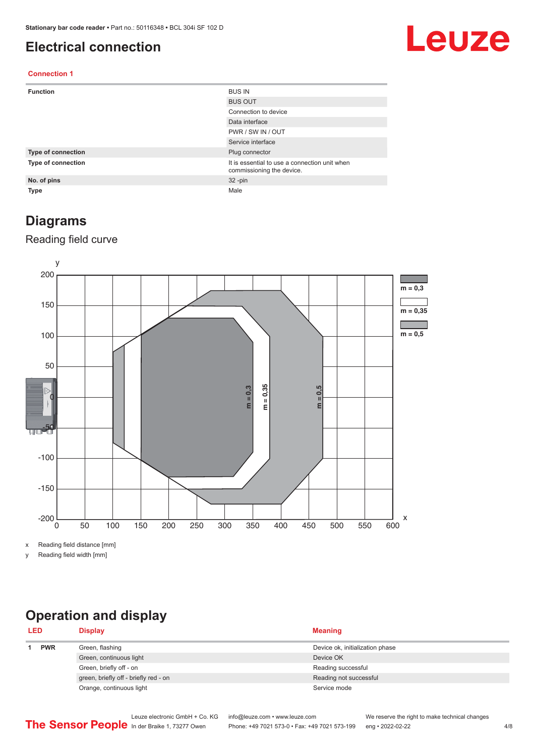## <span id="page-3-0"></span>**Electrical connection**

# Leuze

#### **Connection 1**

| <b>Function</b>    | <b>BUS IN</b>                                                              |
|--------------------|----------------------------------------------------------------------------|
|                    | <b>BUS OUT</b>                                                             |
|                    | Connection to device                                                       |
|                    | Data interface                                                             |
|                    | PWR / SW IN / OUT                                                          |
|                    | Service interface                                                          |
| Type of connection | Plug connector                                                             |
| Type of connection | It is essential to use a connection unit when<br>commissioning the device. |
| No. of pins        | $32 - pin$                                                                 |
| <b>Type</b>        | Male                                                                       |

### **Diagrams**

#### Reading field curve



x Reading field distance [mm]

y Reading field width [mm]

# **Operation and display**

| <b>LED</b> |            | <b>Display</b>                        | <b>Meaning</b>                  |
|------------|------------|---------------------------------------|---------------------------------|
|            | <b>PWR</b> | Green, flashing                       | Device ok, initialization phase |
|            |            | Green, continuous light               | Device OK                       |
|            |            | Green, briefly off - on               | Reading successful              |
|            |            | green, briefly off - briefly red - on | Reading not successful          |
|            |            | Orange, continuous light              | Service mode                    |
|            |            |                                       |                                 |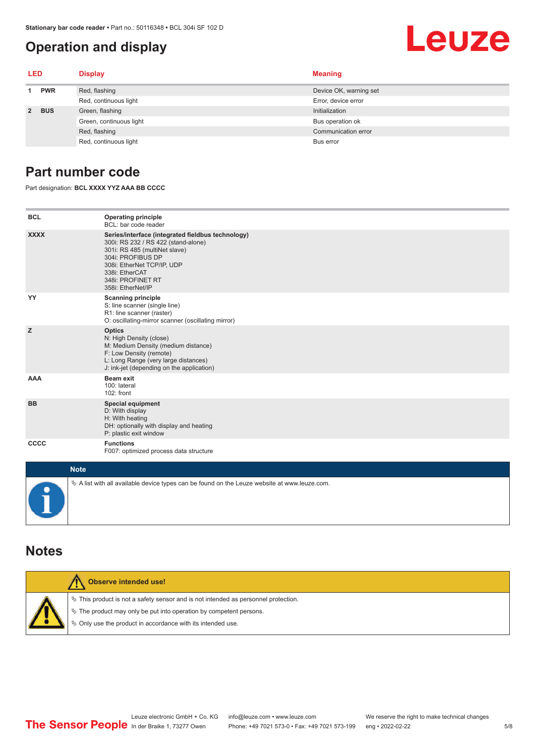# <span id="page-4-0"></span>**Operation and display**

# Leuze

| LED         |            | <b>Display</b>          | <b>Meaning</b>         |
|-------------|------------|-------------------------|------------------------|
|             | <b>PWR</b> | Red, flashing           | Device OK, warning set |
|             |            | Red, continuous light   | Error, device error    |
| $2^{\circ}$ | <b>BUS</b> | Green, flashing         | Initialization         |
|             |            | Green, continuous light | Bus operation ok       |
|             |            | Red, flashing           | Communication error    |
|             |            | Red, continuous light   | Bus error              |

# **Part number code**

Part designation: **BCL XXXX YYZ AAA BB CCCC**

| <b>BCL</b>         | <b>Operating principle</b><br>BCL: bar code reader                                                                                                                                                                                       |
|--------------------|------------------------------------------------------------------------------------------------------------------------------------------------------------------------------------------------------------------------------------------|
| <b>XXXX</b>        | Series/interface (integrated fieldbus technology)<br>300i: RS 232 / RS 422 (stand-alone)<br>301i: RS 485 (multiNet slave)<br>304i: PROFIBUS DP<br>308i: EtherNet TCP/IP, UDP<br>338i: EtherCAT<br>348i: PROFINET RT<br>358i: EtherNet/IP |
| YY                 | <b>Scanning principle</b><br>S: line scanner (single line)<br>R1: line scanner (raster)<br>O: oscillating-mirror scanner (oscillating mirror)                                                                                            |
| z                  | <b>Optics</b><br>N: High Density (close)<br>M: Medium Density (medium distance)<br>F: Low Density (remote)<br>L: Long Range (very large distances)<br>J: ink-jet (depending on the application)                                          |
| <b>AAA</b>         | <b>Beam exit</b><br>100: lateral<br>102: front                                                                                                                                                                                           |
| <b>BB</b>          | <b>Special equipment</b><br>D: With display<br>H: With heating<br>DH: optionally with display and heating<br>P: plastic exit window                                                                                                      |
| CCCC               | <b>Functions</b><br>F007: optimized process data structure                                                                                                                                                                               |
| <b>Sales State</b> |                                                                                                                                                                                                                                          |

| <b>Note</b>                                                                                       |
|---------------------------------------------------------------------------------------------------|
| Vector A list with all available device types can be found on the Leuze website at www.leuze.com. |

### **Notes**

| Observe intended use!                                                                                                                                                                                                            |
|----------------------------------------------------------------------------------------------------------------------------------------------------------------------------------------------------------------------------------|
| $\%$ This product is not a safety sensor and is not intended as personnel protection.<br>$\%$ The product may only be put into operation by competent persons.<br>$\%$ Only use the product in accordance with its intended use. |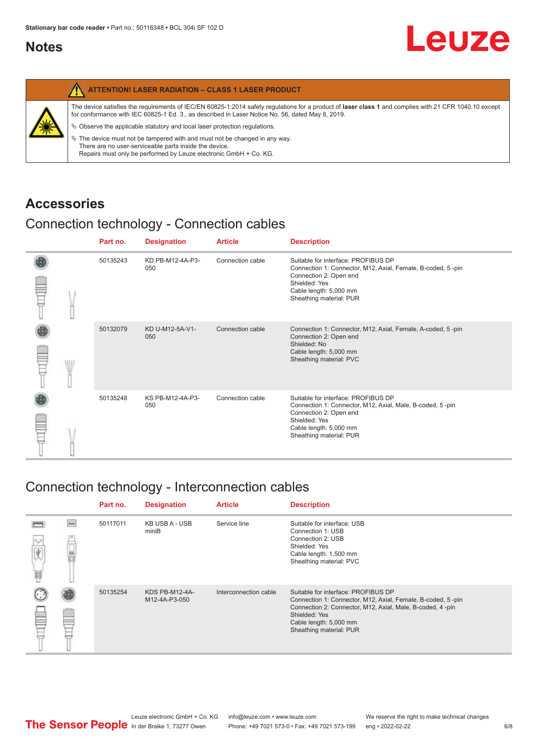# <span id="page-5-0"></span>**Notes**

| The device satisfies the requirements of IEC/EN 60825-1:2014 safety requlations for a product of laser class 1 and complies with 21 CFR 1040.10 except<br>for conformance with IEC 60825-1 Ed. 3., as described in Laser Notice No. 56, dated May 8, 2019.<br>纂<br>$\&$ Observe the applicable statutory and local laser protection requisitions.<br>$\%$ The device must not be tampered with and must not be changed in any way.<br>There are no user-serviceable parts inside the device.<br>Repairs must only be performed by Leuze electronic GmbH + Co. KG. | <b>ATTENTION! LASER RADIATION - CLASS 1 LASER PRODUCT</b> |
|-------------------------------------------------------------------------------------------------------------------------------------------------------------------------------------------------------------------------------------------------------------------------------------------------------------------------------------------------------------------------------------------------------------------------------------------------------------------------------------------------------------------------------------------------------------------|-----------------------------------------------------------|
|                                                                                                                                                                                                                                                                                                                                                                                                                                                                                                                                                                   |                                                           |

# **Accessories**

# Connection technology - Connection cables

|  |  | Part no. | <b>Designation</b>      | <b>Article</b>   | <b>Description</b>                                                                                                                                                                                 |
|--|--|----------|-------------------------|------------------|----------------------------------------------------------------------------------------------------------------------------------------------------------------------------------------------------|
|  |  | 50135243 | KD PB-M12-4A-P3-<br>050 | Connection cable | Suitable for interface: PROFIBUS DP<br>Connection 1: Connector, M12, Axial, Female, B-coded, 5-pin<br>Connection 2: Open end<br>Shielded: Yes<br>Cable length: 5,000 mm<br>Sheathing material: PUR |
|  |  | 50132079 | KD U-M12-5A-V1-<br>050  | Connection cable | Connection 1: Connector, M12, Axial, Female, A-coded, 5-pin<br>Connection 2: Open end<br>Shielded: No<br>Cable length: 5,000 mm<br>Sheathing material: PVC                                         |
|  |  | 50135248 | KS PB-M12-4A-P3-<br>050 | Connection cable | Suitable for interface: PROFIBUS DP<br>Connection 1: Connector, M12, Axial, Male, B-coded, 5-pin<br>Connection 2: Open end<br>Shielded: Yes<br>Cable length: 5,000 mm<br>Sheathing material: PUR   |

# Connection technology - Interconnection cables

|                          |   | Part no. | <b>Designation</b>              | <b>Article</b>        | <b>Description</b>                                                                                                                                                                                                                    |
|--------------------------|---|----------|---------------------------------|-----------------------|---------------------------------------------------------------------------------------------------------------------------------------------------------------------------------------------------------------------------------------|
| $^0\text{-}^0$<br>Ÿ<br>篇 | e | 50117011 | KB USB A - USB<br>miniB         | Service line          | Suitable for interface: USB<br>Connection 1: USB<br>Connection 2: USB<br>Shielded: Yes<br>Cable length: 1,500 mm<br>Sheathing material: PVC                                                                                           |
|                          |   | 50135254 | KDS PB-M12-4A-<br>M12-4A-P3-050 | Interconnection cable | Suitable for interface: PROFIBUS DP<br>Connection 1: Connector, M12, Axial, Female, B-coded, 5-pin<br>Connection 2: Connector, M12, Axial, Male, B-coded, 4-pin<br>Shielded: Yes<br>Cable length: 5,000 mm<br>Sheathing material: PUR |

Leuze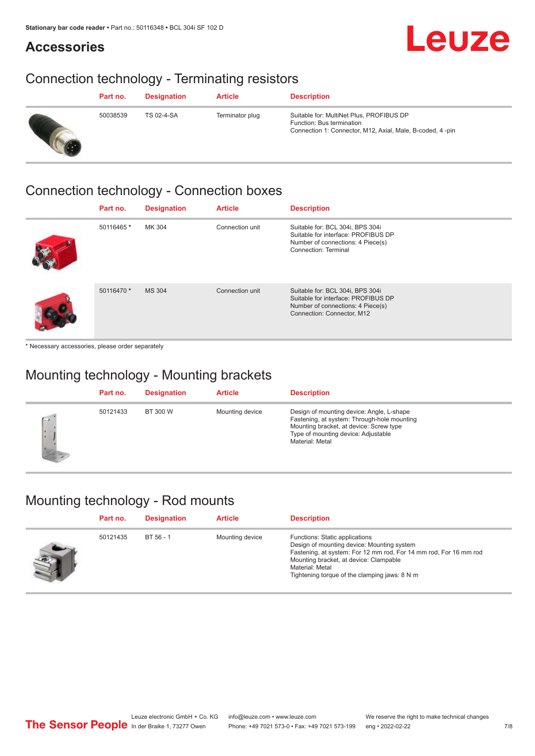# Leuze

# **Accessories**

# Connection technology - Terminating resistors

| Part no. | <b>Designation</b> | <b>Article</b>  | <b>Description</b>                                                                                                                 |
|----------|--------------------|-----------------|------------------------------------------------------------------------------------------------------------------------------------|
| 50038539 | TS 02-4-SA         | Terminator plug | Suitable for: MultiNet Plus, PROFIBUS DP<br>Function: Bus termination<br>Connection 1: Connector, M12, Axial, Male, B-coded, 4-pin |

# Connection technology - Connection boxes

| Part no.   | <b>Designation</b> | <b>Article</b>  | <b>Description</b>                                                                                                                         |
|------------|--------------------|-----------------|--------------------------------------------------------------------------------------------------------------------------------------------|
| 50116465 * | MK 304             | Connection unit | Suitable for: BCL 304i, BPS 304i<br>Suitable for interface: PROFIBUS DP<br>Number of connections: 4 Piece(s)<br>Connection: Terminal       |
| 50116470 * | <b>MS 304</b>      | Connection unit | Suitable for: BCL 304i, BPS 304i<br>Suitable for interface: PROFIBUS DP<br>Number of connections: 4 Piece(s)<br>Connection: Connector, M12 |

\* Necessary accessories, please order separately

# Mounting technology - Mounting brackets

|                   | Part no. | <b>Designation</b> | <b>Article</b>  | <b>Description</b>                                                                                                                                                                            |
|-------------------|----------|--------------------|-----------------|-----------------------------------------------------------------------------------------------------------------------------------------------------------------------------------------------|
| $\sqrt{2}$<br>I×. | 50121433 | BT 300 W           | Mounting device | Design of mounting device: Angle, L-shape<br>Fastening, at system: Through-hole mounting<br>Mounting bracket, at device: Screw type<br>Type of mounting device: Adjustable<br>Material: Metal |

# Mounting technology - Rod mounts

| Part no. | <b>Designation</b> | <b>Article</b>  | <b>Description</b>                                                                                                                                                                                                                                                                     |
|----------|--------------------|-----------------|----------------------------------------------------------------------------------------------------------------------------------------------------------------------------------------------------------------------------------------------------------------------------------------|
| 50121435 | BT 56 - 1          | Mounting device | Functions: Static applications<br>Design of mounting device: Mounting system<br>Fastening, at system: For 12 mm rod, For 14 mm rod, For 16 mm rod<br>Mounting bracket, at device: Clampable<br>Material: Metal<br>Tightening torque of the clamping jaws: $8 \text{ N} \cdot \text{m}$ |